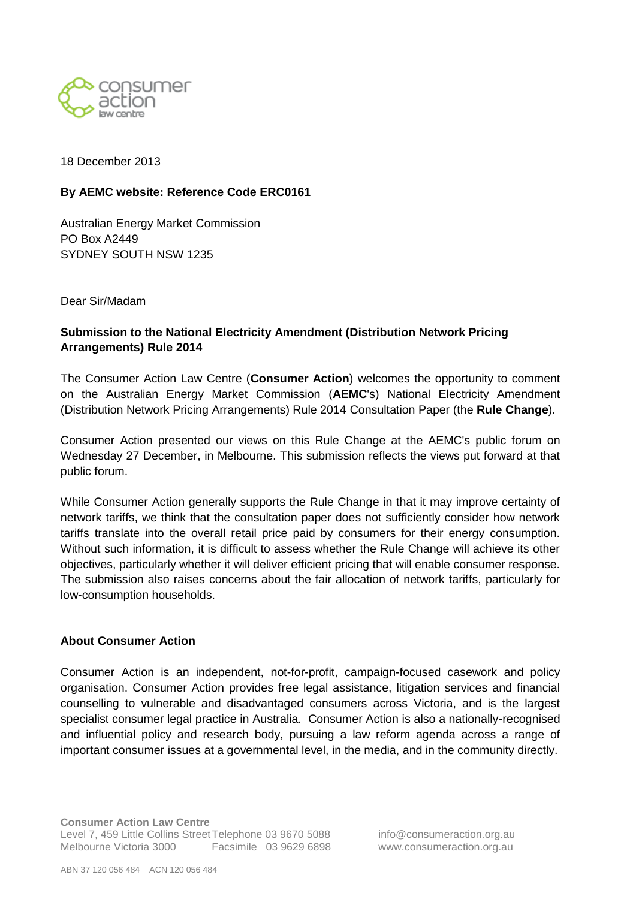

18 December 2013

## **By AEMC website: Reference Code ERC0161**

Australian Energy Market Commission PO Box A2449 SYDNEY SOUTH NSW 1235

Dear Sir/Madam

# **Submission to the National Electricity Amendment (Distribution Network Pricing Arrangements) Rule 2014**

The Consumer Action Law Centre (**Consumer Action**) welcomes the opportunity to comment on the Australian Energy Market Commission (**AEMC**'s) National Electricity Amendment (Distribution Network Pricing Arrangements) Rule 2014 Consultation Paper (the **Rule Change**).

Consumer Action presented our views on this Rule Change at the AEMC's public forum on Wednesday 27 December, in Melbourne. This submission reflects the views put forward at that public forum.

While Consumer Action generally supports the Rule Change in that it may improve certainty of network tariffs, we think that the consultation paper does not sufficiently consider how network tariffs translate into the overall retail price paid by consumers for their energy consumption. Without such information, it is difficult to assess whether the Rule Change will achieve its other objectives, particularly whether it will deliver efficient pricing that will enable consumer response. The submission also raises concerns about the fair allocation of network tariffs, particularly for low-consumption households.

#### **About Consumer Action**

Consumer Action is an independent, not-for-profit, campaign-focused casework and policy organisation. Consumer Action provides free legal assistance, litigation services and financial counselling to vulnerable and disadvantaged consumers across Victoria, and is the largest specialist consumer legal practice in Australia. Consumer Action is also a nationally-recognised and influential policy and research body, pursuing a law reform agenda across a range of important consumer issues at a governmental level, in the media, and in the community directly.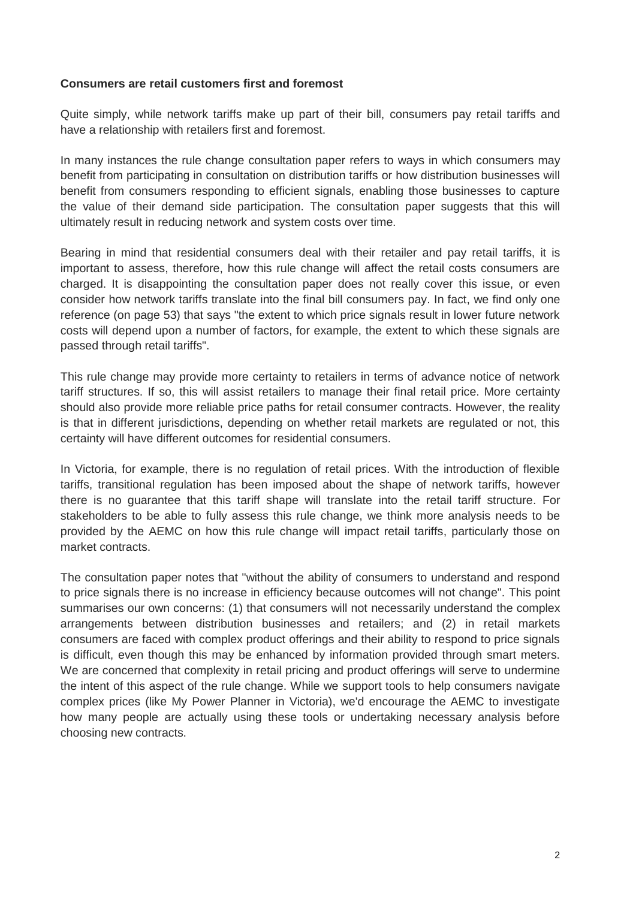### **Consumers are retail customers first and foremost**

Quite simply, while network tariffs make up part of their bill, consumers pay retail tariffs and have a relationship with retailers first and foremost.

In many instances the rule change consultation paper refers to ways in which consumers may benefit from participating in consultation on distribution tariffs or how distribution businesses will benefit from consumers responding to efficient signals, enabling those businesses to capture the value of their demand side participation. The consultation paper suggests that this will ultimately result in reducing network and system costs over time.

Bearing in mind that residential consumers deal with their retailer and pay retail tariffs, it is important to assess, therefore, how this rule change will affect the retail costs consumers are charged. It is disappointing the consultation paper does not really cover this issue, or even consider how network tariffs translate into the final bill consumers pay. In fact, we find only one reference (on page 53) that says "the extent to which price signals result in lower future network costs will depend upon a number of factors, for example, the extent to which these signals are passed through retail tariffs".

This rule change may provide more certainty to retailers in terms of advance notice of network tariff structures. If so, this will assist retailers to manage their final retail price. More certainty should also provide more reliable price paths for retail consumer contracts. However, the reality is that in different jurisdictions, depending on whether retail markets are regulated or not, this certainty will have different outcomes for residential consumers.

In Victoria, for example, there is no regulation of retail prices. With the introduction of flexible tariffs, transitional regulation has been imposed about the shape of network tariffs, however there is no guarantee that this tariff shape will translate into the retail tariff structure. For stakeholders to be able to fully assess this rule change, we think more analysis needs to be provided by the AEMC on how this rule change will impact retail tariffs, particularly those on market contracts.

The consultation paper notes that "without the ability of consumers to understand and respond to price signals there is no increase in efficiency because outcomes will not change". This point summarises our own concerns: (1) that consumers will not necessarily understand the complex arrangements between distribution businesses and retailers; and (2) in retail markets consumers are faced with complex product offerings and their ability to respond to price signals is difficult, even though this may be enhanced by information provided through smart meters. We are concerned that complexity in retail pricing and product offerings will serve to undermine the intent of this aspect of the rule change. While we support tools to help consumers navigate complex prices (like My Power Planner in Victoria), we'd encourage the AEMC to investigate how many people are actually using these tools or undertaking necessary analysis before choosing new contracts.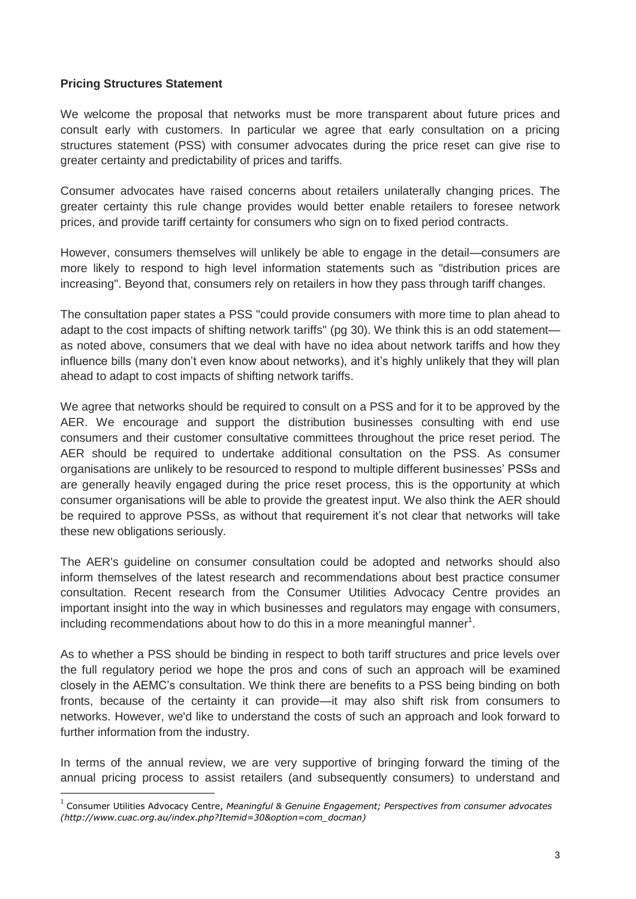## **Pricing Structures Statement**

1

We welcome the proposal that networks must be more transparent about future prices and consult early with customers. In particular we agree that early consultation on a pricing structures statement (PSS) with consumer advocates during the price reset can give rise to greater certainty and predictability of prices and tariffs.

Consumer advocates have raised concerns about retailers unilaterally changing prices. The greater certainty this rule change provides would better enable retailers to foresee network prices, and provide tariff certainty for consumers who sign on to fixed period contracts.

However, consumers themselves will unlikely be able to engage in the detail—consumers are more likely to respond to high level information statements such as "distribution prices are increasing". Beyond that, consumers rely on retailers in how they pass through tariff changes.

The consultation paper states a PSS "could provide consumers with more time to plan ahead to adapt to the cost impacts of shifting network tariffs" (pg 30). We think this is an odd statement as noted above, consumers that we deal with have no idea about network tariffs and how they influence bills (many don't even know about networks), and it's highly unlikely that they will plan ahead to adapt to cost impacts of shifting network tariffs.

We agree that networks should be required to consult on a PSS and for it to be approved by the AER. We encourage and support the distribution businesses consulting with end use consumers and their customer consultative committees throughout the price reset period. The AER should be required to undertake additional consultation on the PSS. As consumer organisations are unlikely to be resourced to respond to multiple different businesses" PSSs and are generally heavily engaged during the price reset process, this is the opportunity at which consumer organisations will be able to provide the greatest input. We also think the AER should be required to approve PSSs, as without that requirement it's not clear that networks will take these new obligations seriously.

The AER's guideline on consumer consultation could be adopted and networks should also inform themselves of the latest research and recommendations about best practice consumer consultation. Recent research from the Consumer Utilities Advocacy Centre provides an important insight into the way in which businesses and regulators may engage with consumers, including recommendations about how to do this in a more meaningful manner<sup>1</sup>.

As to whether a PSS should be binding in respect to both tariff structures and price levels over the full regulatory period we hope the pros and cons of such an approach will be examined closely in the AEMC"s consultation. We think there are benefits to a PSS being binding on both fronts, because of the certainty it can provide—it may also shift risk from consumers to networks. However, we'd like to understand the costs of such an approach and look forward to further information from the industry.

In terms of the annual review, we are very supportive of bringing forward the timing of the annual pricing process to assist retailers (and subsequently consumers) to understand and

<sup>1</sup> Consumer Utilities Advocacy Centre, *Meaningful & Genuine Engagement; Perspectives from consumer advocates (http://www.cuac.org.au/index.php?Itemid=30&option=com\_docman)*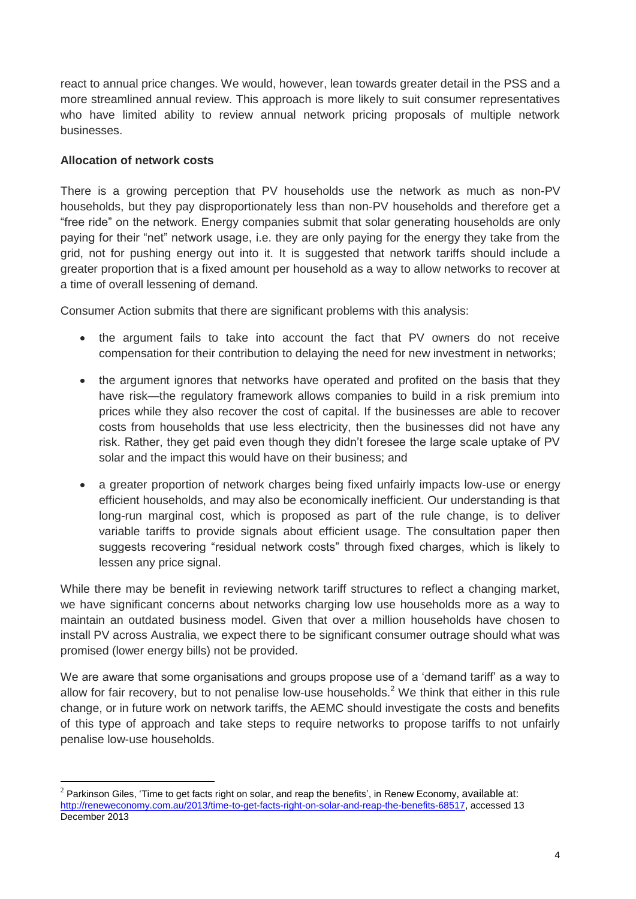react to annual price changes. We would, however, lean towards greater detail in the PSS and a more streamlined annual review. This approach is more likely to suit consumer representatives who have limited ability to review annual network pricing proposals of multiple network businesses.

# **Allocation of network costs**

1

There is a growing perception that PV households use the network as much as non-PV households, but they pay disproportionately less than non-PV households and therefore get a "free ride" on the network. Energy companies submit that solar generating households are only paying for their "net" network usage, i.e. they are only paying for the energy they take from the grid, not for pushing energy out into it. It is suggested that network tariffs should include a greater proportion that is a fixed amount per household as a way to allow networks to recover at a time of overall lessening of demand.

Consumer Action submits that there are significant problems with this analysis:

- the argument fails to take into account the fact that PV owners do not receive compensation for their contribution to delaying the need for new investment in networks;
- the argument ignores that networks have operated and profited on the basis that they have risk—the regulatory framework allows companies to build in a risk premium into prices while they also recover the cost of capital. If the businesses are able to recover costs from households that use less electricity, then the businesses did not have any risk. Rather, they get paid even though they didn"t foresee the large scale uptake of PV solar and the impact this would have on their business; and
- a greater proportion of network charges being fixed unfairly impacts low-use or energy efficient households, and may also be economically inefficient. Our understanding is that long-run marginal cost, which is proposed as part of the rule change, is to deliver variable tariffs to provide signals about efficient usage. The consultation paper then suggests recovering "residual network costs" through fixed charges, which is likely to lessen any price signal.

While there may be benefit in reviewing network tariff structures to reflect a changing market, we have significant concerns about networks charging low use households more as a way to maintain an outdated business model. Given that over a million households have chosen to install PV across Australia, we expect there to be significant consumer outrage should what was promised (lower energy bills) not be provided.

We are aware that some organisations and groups propose use of a "demand tariff" as a way to allow for fair recovery, but to not penalise low-use households.<sup>2</sup> We think that either in this rule change, or in future work on network tariffs, the AEMC should investigate the costs and benefits of this type of approach and take steps to require networks to propose tariffs to not unfairly penalise low-use households.

 $2$  Parkinson Giles, 'Time to get facts right on solar, and reap the benefits', in Renew Economy, available at: [http://reneweconomy.com.au/2013/time-to-get-facts-right-on-solar-and-reap-the-benefits-68517,](http://reneweconomy.com.au/2013/time-to-get-facts-right-on-solar-and-reap-the-benefits-68517) accessed 13 December 2013